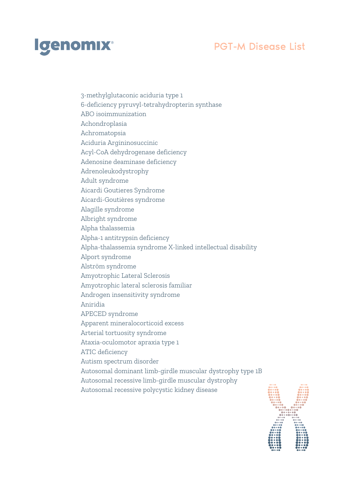

3-methylglutaconic aciduria type 1 6-deficiency pyruvyl-tetrahydropterin synthase ABO isoimmunization Achondroplasia Achromatopsia Aciduria Argininosuccinic Acyl-CoA dehydrogenase deficiency Adenosine deaminase deficiency Adrenoleukodystrophy Adult syndrome Aicardi Goutieres Syndrome Aicardi-Goutières syndrome Alagille syndrome Albright syndrome Alpha thalassemia Alpha-1 antitrypsin deficiency Alpha-thalassemia syndrome X-linked intellectual disability Alport syndrome Alström syndrome Amyotrophic Lateral Sclerosis Amyotrophic lateral sclerosis familiar Androgen insensitivity syndrome Aniridia APECED syndrome Apparent mineralocorticoid excess Arterial tortuosity syndrome Ataxia-oculomotor apraxia type 1 ATIC deficiency Autism spectrum disorder Autosomal dominant limb-girdle muscular dystrophy type 1B Autosomal recessive limb-girdle muscular dystrophy Autosomal recessive polycystic kidney disease

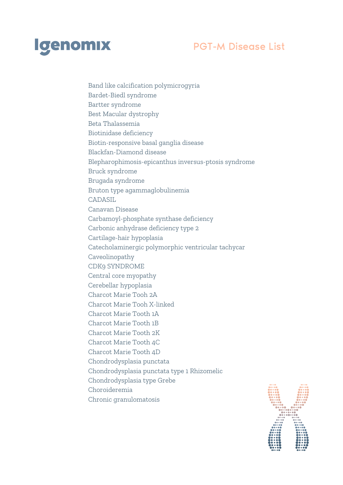

Band like calcification polymicrogyria Bardet-Biedl syndrome Bartter syndrome Best Macular dystrophy Beta Thalassemia Biotinidase deficiency Biotin-responsive basal ganglia disease Blackfan-Diamond disease Blepharophimosis-epicanthus inversus-ptosis syndrome Bruck syndrome Brugada syndrome Bruton type agammaglobulinemia CADASIL Canavan Disease Carbamoyl-phosphate synthase deficiency Carbonic anhydrase deficiency type 2 Cartilage-hair hypoplasia Catecholaminergic polymorphic ventricular tachycar Caveolinopathy CDK9 SYNDROME Central core myopathy Cerebellar hypoplasia Charcot Marie Tooh 2A Charcot Marie Tooh X-linked Charcot Marie Tooth 1A Charcot Marie Tooth 1B Charcot Marie Tooth 2K Charcot Marie Tooth 4C Charcot Marie Tooth 4D Chondrodysplasia punctata Chondrodysplasia punctata type 1 Rhizomelic Chondrodysplasia type Grebe Choroideremia Chronic granulomatosis

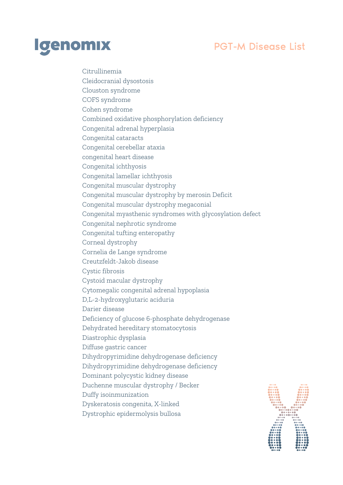

Citrullinemia Cleidocranial dysostosis Clouston syndrome COFS syndrome Cohen syndrome Combined oxidative phosphorylation deficiency Congenital adrenal hyperplasia Congenital cataracts Congenital cerebellar ataxia congenital heart disease Congenital ichthyosis Congenital lamellar ichthyosis Congenital muscular dystrophy Congenital muscular dystrophy by merosin Deficit Congenital muscular dystrophy megaconial Congenital myasthenic syndromes with glycosylation defect Congenital nephrotic syndrome Congenital tufting enteropathy Corneal dystrophy Cornelia de Lange syndrome Creutzfeldt-Jakob disease Cystic fibrosis Cystoid macular dystrophy Cytomegalic congenital adrenal hypoplasia D,L-2-hydroxyglutaric aciduria Darier disease Deficiency of glucose 6-phosphate dehydrogenase Dehydrated hereditary stomatocytosis Diastrophic dysplasia Diffuse gastric cancer Dihydropyrimidine dehydrogenase deficiency Dihydropyrimidine dehydrogenase deficiency Dominant polycystic kidney disease Duchenne muscular dystrophy / Becker Duffy isoinmunization Dyskeratosis congenita, X-linked Dystrophic epidermolysis bullosa

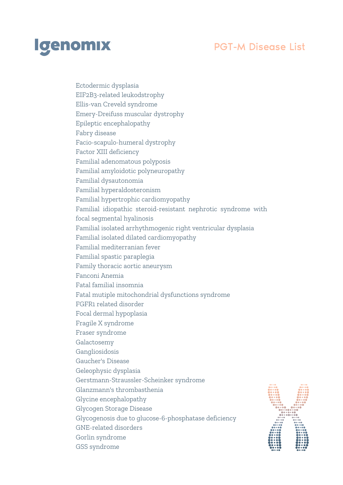

Ectodermic dysplasia EIF2B3-related leukodstrophy Ellis-van Creveld syndrome Emery-Dreifuss muscular dystrophy Epileptic encephalopathy Fabry disease Facio-scapulo-humeral dystrophy Factor XIII deficiency Familial adenomatous polyposis Familial amyloidotic polyneuropathy Familial dysautonomia Familial hyperaldosteronism Familial hypertrophic cardiomyopathy Familial idiopathic steroid-resistant nephrotic syndrome with focal segmental hyalinosis Familial isolated arrhythmogenic right ventricular dysplasia Familial isolated dilated cardiomyopathy Familial mediterranian fever Familial spastic paraplegia Family thoracic aortic aneurysm Fanconi Anemia Fatal familial insomnia Fatal mutiple mitochondrial dysfunctions syndrome FGFR1 related disorder Focal dermal hypoplasia Fragile X syndrome Fraser syndrome Galactosemy Gangliosidosis Gaucher's Disease Geleophysic dysplasia Gerstmann-Straussler-Scheinker syndrome Glanzmann's thrombasthenia Glycine encephalopathy Glycogen Storage Disease Glycogenosis due to glucose-6-phosphatase deficiency GNE-related disorders Gorlin syndrome GSS syndrome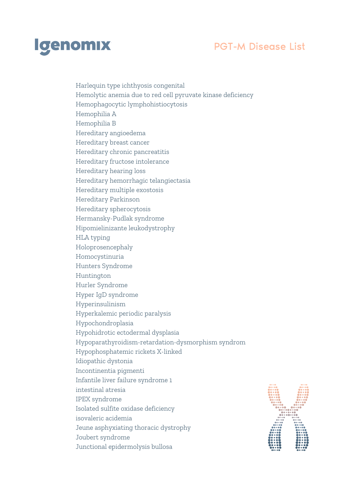

Harlequin type ichthyosis congenital Hemolytic anemia due to red cell pyruvate kinase deficiency Hemophagocytic lymphohistiocytosis Hemophilia A Hemophilia B Hereditary angioedema Hereditary breast cancer Hereditary chronic pancreatitis Hereditary fructose intolerance Hereditary hearing loss Hereditary hemorrhagic telangiectasia Hereditary multiple exostosis Hereditary Parkinson Hereditary spherocytosis Hermansky-Pudlak syndrome Hipomielinizante leukodystrophy HLA typing Holoprosencephaly Homocystinuria Hunters Syndrome Huntington Hurler Syndrome Hyper IgD syndrome Hyperinsulinism Hyperkalemic periodic paralysis Hypochondroplasia Hypohidrotic ectodermal dysplasia Hypoparathyroidism-retardation-dysmorphism syndrom Hypophosphatemic rickets X-linked Idiopathic dystonia Incontinentia pigmenti Infantile liver failure syndrome 1 intestinal atresia IPEX syndrome Isolated sulfite oxidase deficiency isovaleric acidemia Jeune asphyxiating thoracic dystrophy Joubert syndrome Junctional epidermolysis bullosa

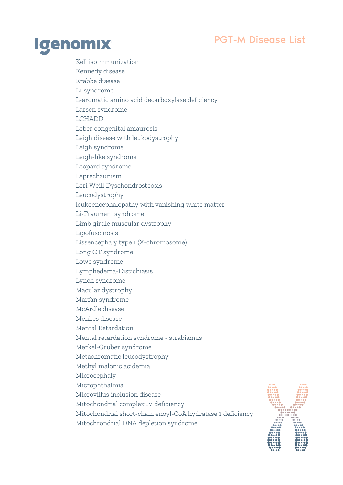

Kell isoimmunization Kennedy disease Krabbe disease L1 syndrome L-aromatic amino acid decarboxylase deficiency Larsen syndrome LCHADD Leber congenital amaurosis Leigh disease with leukodystrophy Leigh syndrome Leigh-like syndrome Leopard syndrome Leprechaunism Leri Weill Dyschondrosteosis Leucodystrophy leukoencephalopathy with vanishing white matter Li-Fraumeni syndrome Limb girdle muscular dystrophy Lipofuscinosis Lissencephaly type 1 (X-chromosome) Long QT syndrome Lowe syndrome Lymphedema-Distichiasis Lynch syndrome Macular dystrophy Marfan syndrome McArdle disease Menkes disease Mental Retardation Mental retardation syndrome - strabismus Merkel-Gruber syndrome Metachromatic leucodystrophy Methyl malonic acidemia Microcephaly Microphthalmia Microvillus inclusion disease Mitochondrial complex IV deficiency Mitochondrial short-chain enoyl-CoA hydratase 1 deficiency Mitochrondrial DNA depletion syndrome

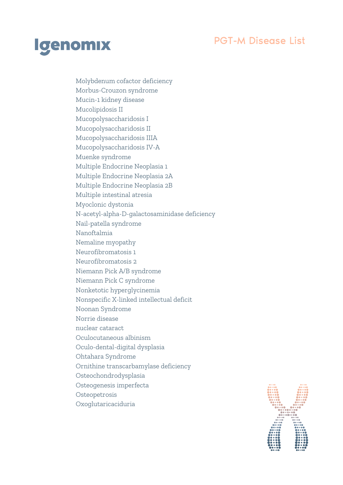

Molybdenum cofactor deficiency Morbus-Crouzon syndrome Mucin-1 kidney disease Mucolipidosis II Mucopolysaccharidosis I Mucopolysaccharidosis II Mucopolysaccharidosis IIIA Mucopolysaccharidosis IV-A Muenke syndrome Multiple Endocrine Neoplasia 1 Multiple Endocrine Neoplasia 2A Multiple Endocrine Neoplasia 2B Multiple intestinal atresia Myoclonic dystonia N-acetyl-alpha-D-galactosaminidase deficiency Nail-patella syndrome Nanoftalmia Nemaline myopathy Neurofibromatosis 1 Neurofibromatosis 2 Niemann Pick A/B syndrome Niemann Pick C syndrome Nonketotic hyperglycinemia Nonspecific X-linked intellectual deficit Noonan Syndrome Norrie disease nuclear cataract Oculocutaneous albinism Oculo-dental-digital dysplasia Ohtahara Syndrome Ornithine transcarbamylase deficiency Osteochondrodysplasia Osteogenesis imperfecta **Osteopetrosis** Oxoglutaricaciduria

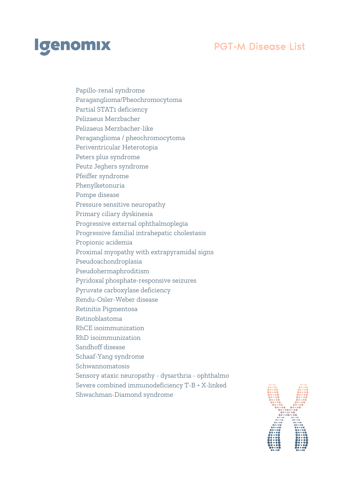

Papillo-renal syndrome Paraganglioma/Pheochromocytoma Partial STAT1 deficiency Pelizaeus Merzbacher Pelizaeus Merzbacher-like Peraganglioma / pheochromocytoma Periventricular Heterotopia Peters plus syndrome Peutz Jeghers syndrome Pfeiffer syndrome Phenylketonuria Pompe disease Pressure sensitive neuropathy Primary ciliary dyskinesia Progressive external ophthalmoplegia Progressive familial intrahepatic cholestasis Propionic acidemia Proximal myopathy with extrapyramidal signs Pseudoachondroplasia Pseudohermaphroditism Pyridoxal phosphate-responsive seizures Pyruvate carboxylase deficiency Rendu-Osler-Weber disease Retinitis Pigmentosa Retinoblastoma RhCE isoimmunization RhD isoimmunization Sandhoff disease Schaaf-Yang syndrome Schwannomatosis Sensory ataxic neuropathy - dysarthria - ophthalmo Severe combined immunodeficiency T-B + X-linked Shwachman-Diamond syndrome